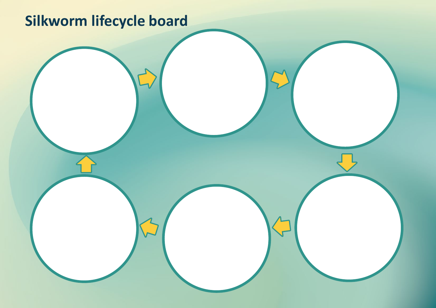### **Silkworm lifecycle board**

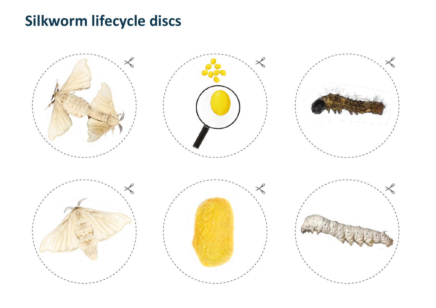#### **Silkworm lifecycle discs**



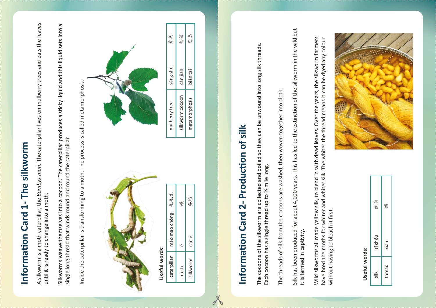# **Information Card 1- The silkworm**  Information Card 1- The silkworm

A silk worm is a moth c ā t erpill ar, the *B o mbyx m o ri.* The  $\mathsf{\bm{\mathsf{C}}}$ ā t erpill ar li ves on mulberry tre بە s and e ats th e le a ves コ  $\subseteq$ til it is read  $\blacktriangleright$ t o chan ge in t o a moth.

 $\breve{\vec{z}}$ worm s  $\geq$ بو დ  $\,>$ e th emselves in t o a  $\mathsf{\bm{\mathsf{C}}}$ o ب o on. The  $\mathsf{\bm{\mathsf{C}}}$ ā t erpill ar produces a stic k y liquid and this liquid s e t s in t o a sin gle long t hread th at wind s round and round th  $\mathsf \omega$  $\mathsf{\bm{\mathsf{C}}}$ ā terpill ت<br>ه

 $\equiv$ side the c ā t erpill ar is e<br>1  $\subseteq$ s formin ۵O t o a moth. The proces s is  $\mathsf{\bm{C}}$ alled me t amorpho sis.



# Information Card 2- Production of silk **Information Card 2- Production of silk**

The cocoons of the silkworm are collected and boiled so they can be unwound into long silk threads. The cocoons of the silkworm are collected and boiled so they can be unwound into long silk threads. Each cocoon has a single thread up to 1/2 mile long. Each cocoon has a single thread up to ½ mile long.

The threads of silk from the cocoons are washed, then woven together into cloth. The threads of silk from the cocoons are washed, then woven together into cloth.

Silk has been produced for about 4,000 years. This has led to the extinction of the silkworm in the wild but Silk has been produced for about 4,000 years. This has led to the extinction of the silkworm in the wild but it is farmed in captivity. it is farmed in captivity.



| caterpillar | máo mao chóng | 毛毛虫 |
|-------------|---------------|-----|
| moth        | ۰ω            | 輿   |
| silkworm    | cán é         | 倭寒  |



Wild silkworms all made yellow silk, to blend in with dead leaves. Over the years, the silkworm farmers Wild silkworms all made yellow silk, to blend in with dead leaves. Over the years, the silkworm farmers have bred the moths for whiter and whiter silk. The whiter the thread means it can be dyed any colour have bred the moths for whiter and whiter silk. The whiter the thread means it can be dyed any colour

## without having to bleach it first. without having to bleach it first.

| 桑树            | 树<br>蚕          | ⊀2<br>变       |
|---------------|-----------------|---------------|
| sāng shù      | cán jiǎn        | biàn tài      |
| mulberry tree | silkworm cocoon | metamorphosis |

#### **Us e f ul w ords:**

| 缥<br>钧     | 线      |
|------------|--------|
| sī chóu    | xiàn   |
| $\ddot{=}$ | thread |